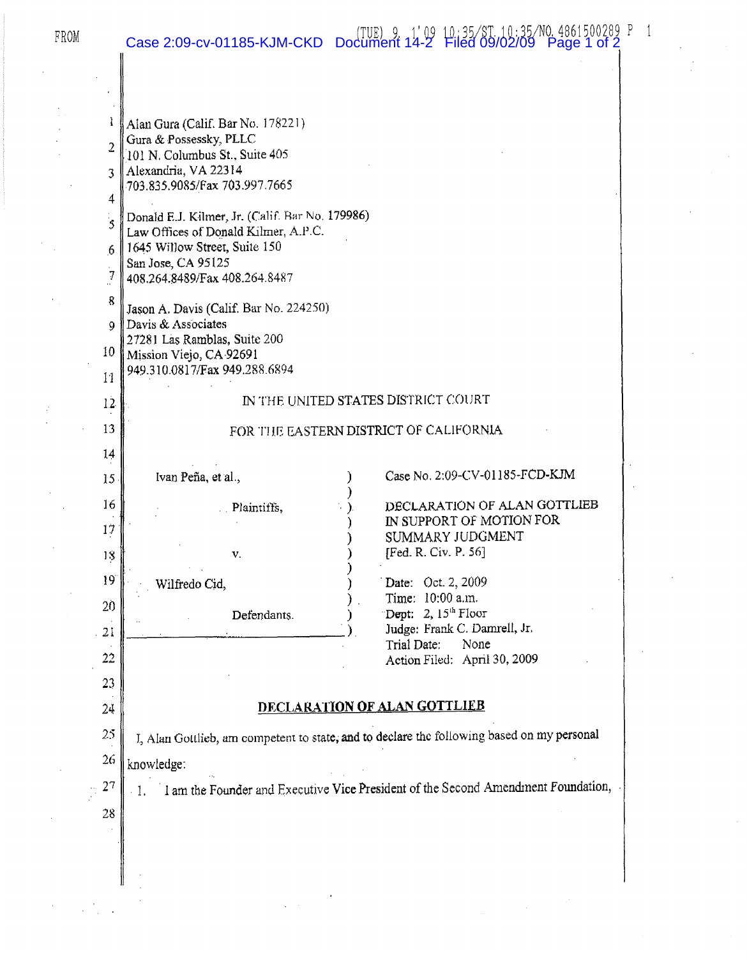| Case 2:09-cv-01185-KJM-CKD Document 14-2 Filed 09/02/09 Page 1 of 2<br>FROM |  |  |
|-----------------------------------------------------------------------------|--|--|
|-----------------------------------------------------------------------------|--|--|

I Alan Gura (Calif. Bar No. 178221) 2 Gura & Possessky, PLLC 2 101 N. Columbus St., Suite 405  $3$  Alexandria, VA 22314 703.835.9085/Fax 703.997.7665 4 5 Donald E.J. Kilmer, Jr. (Calif. Bar No. 179986) Law Offices of Donald Kilmer, A.P.C.  $6 \parallel 1645$  Willow Street, Suite 150 San Jose, CA 95125 7 408.264.B489/Fax 408.264.84R7  $\left\{\right\}$  Jason A. Davis (Calif. Bar No. 224250) 9 Davis & Associates 2728 J Las Ramblas, Suite 200 10 Mission Viejo, CA 92691  $_{11}$  949.310.0817/Fax 949.288.6894 IN THE UNITED STATES DISTRICT COURT Defendants. v. FOR THE EASTERN DISTRICT OF CALIFORNIA Plaintiffs. Ivan Pena, etal., 18.  $19$  . Wilfredo Cid. 12 13 14 15 16 11 22 20 ) Case No. 2:09-CV-01185-FCD-KJM ) DECLARATION OF ALAN GOTTLIEB IN SUPPORT OF MOTION FOR ) SUMMARY JUDGMENT [Fed. R. Civ. P. 56] ) Date: Oct. 2, 2009 ) . Time: 10:00 a.m. Dept: 2,  $15<sup>th</sup>$  Floor  $21 \begin{array}{|l|}\n\hline\n21 \end{array}$   $\begin{array}{|l|}\n\hline\n\end{array}$  Judge: Frank C. Damrell, Jr.<br>Trial Date: None Trial Date: Action Filed; April 30, 2009 23 24 **DECLARATION OF ALAN GOTTLIEB**  $25$  | I, Alan Gottlieb, am competent to state; and to declare the following based on my personal  $26$  knowledge:  $\sim$  27  $\parallel$  1. 1. 1. 1 am the Founder and Executive Vice President of the Second Amendment Foundation, 28